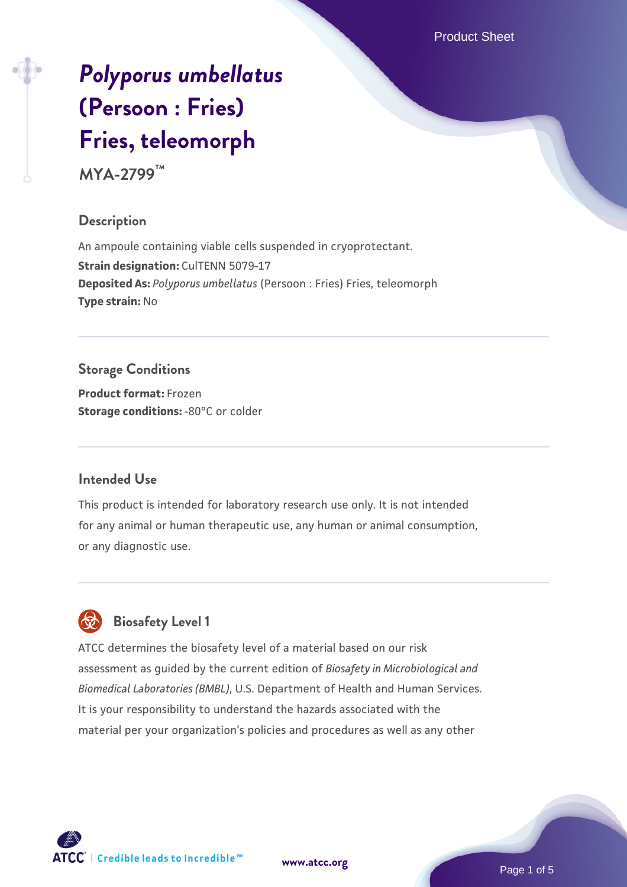Product Sheet

# *[Polyporus umbellatus](https://www.atcc.org/products/mya-2799)* **[\(Persoon : Fries\)](https://www.atcc.org/products/mya-2799) [Fries, teleomorph](https://www.atcc.org/products/mya-2799)**

**MYA-2799™**

# **Description**

An ampoule containing viable cells suspended in cryoprotectant. **Strain designation: CulTENN 5079-17 Deposited As:** *Polyporus umbellatus* (Persoon : Fries) Fries, teleomorph **Type strain:** No

# **Storage Conditions**

**Product format:** Frozen **Storage conditions: -80°C** or colder

## **Intended Use**

This product is intended for laboratory research use only. It is not intended for any animal or human therapeutic use, any human or animal consumption, or any diagnostic use.



# **Biosafety Level 1**

ATCC determines the biosafety level of a material based on our risk assessment as guided by the current edition of *Biosafety in Microbiological and Biomedical Laboratories (BMBL)*, U.S. Department of Health and Human Services. It is your responsibility to understand the hazards associated with the material per your organization's policies and procedures as well as any other

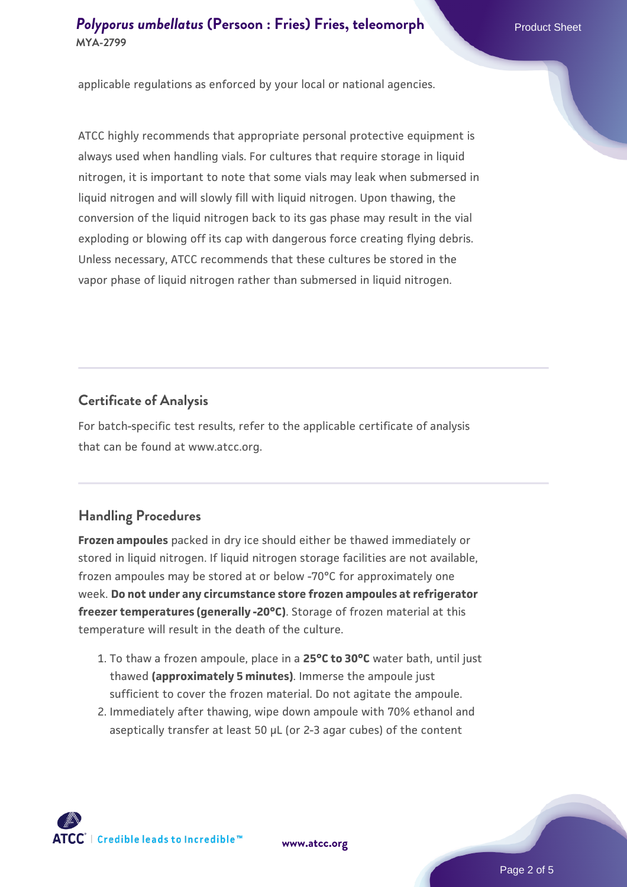# **[Polyporus umbellatus](https://www.atcc.org/products/mya-2799) [\(Persoon : Fries\) Fries, teleomorph](https://www.atcc.org/products/mya-2799) Product Sheet MYA-2799**

applicable regulations as enforced by your local or national agencies.

ATCC highly recommends that appropriate personal protective equipment is always used when handling vials. For cultures that require storage in liquid nitrogen, it is important to note that some vials may leak when submersed in liquid nitrogen and will slowly fill with liquid nitrogen. Upon thawing, the conversion of the liquid nitrogen back to its gas phase may result in the vial exploding or blowing off its cap with dangerous force creating flying debris. Unless necessary, ATCC recommends that these cultures be stored in the vapor phase of liquid nitrogen rather than submersed in liquid nitrogen.

#### **Certificate of Analysis**

For batch-specific test results, refer to the applicable certificate of analysis that can be found at www.atcc.org.

#### **Handling Procedures**

**Frozen ampoules** packed in dry ice should either be thawed immediately or stored in liquid nitrogen. If liquid nitrogen storage facilities are not available, frozen ampoules may be stored at or below -70°C for approximately one week. **Do not under any circumstance store frozen ampoules at refrigerator freezer temperatures (generally -20°C)**. Storage of frozen material at this temperature will result in the death of the culture.

- 1. To thaw a frozen ampoule, place in a **25°C to 30°C** water bath, until just thawed **(approximately 5 minutes)**. Immerse the ampoule just sufficient to cover the frozen material. Do not agitate the ampoule.
- 2. Immediately after thawing, wipe down ampoule with 70% ethanol and aseptically transfer at least 50 µL (or 2-3 agar cubes) of the content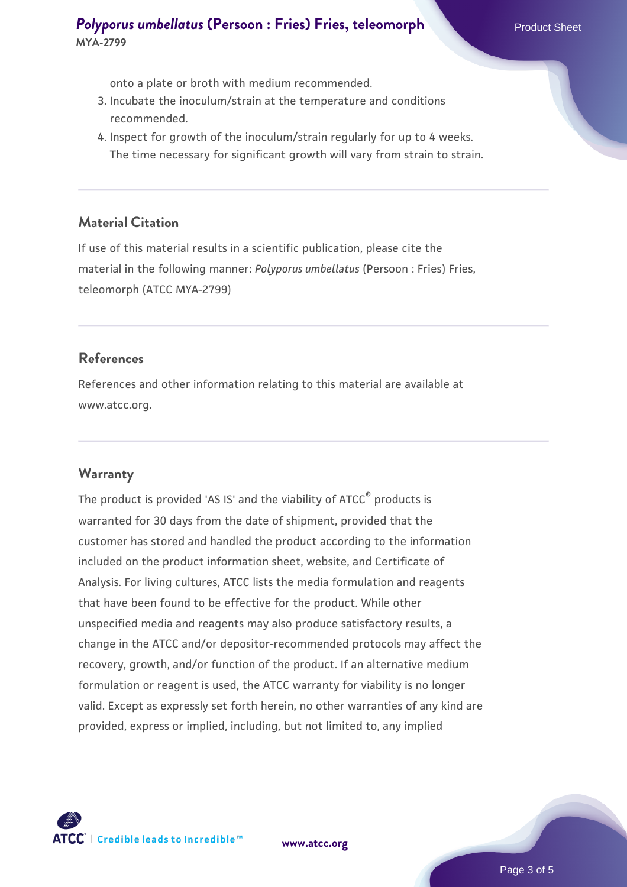## **[Polyporus umbellatus](https://www.atcc.org/products/mya-2799) [\(Persoon : Fries\) Fries, teleomorph](https://www.atcc.org/products/mya-2799) Product Sheet MYA-2799**

onto a plate or broth with medium recommended.

- 3. Incubate the inoculum/strain at the temperature and conditions recommended.
- 4. Inspect for growth of the inoculum/strain regularly for up to 4 weeks. The time necessary for significant growth will vary from strain to strain.

#### **Material Citation**

If use of this material results in a scientific publication, please cite the material in the following manner: *Polyporus umbellatus* (Persoon : Fries) Fries, teleomorph (ATCC MYA-2799)

#### **References**

References and other information relating to this material are available at www.atcc.org.

#### **Warranty**

The product is provided 'AS IS' and the viability of ATCC<sup>®</sup> products is warranted for 30 days from the date of shipment, provided that the customer has stored and handled the product according to the information included on the product information sheet, website, and Certificate of Analysis. For living cultures, ATCC lists the media formulation and reagents that have been found to be effective for the product. While other unspecified media and reagents may also produce satisfactory results, a change in the ATCC and/or depositor-recommended protocols may affect the recovery, growth, and/or function of the product. If an alternative medium formulation or reagent is used, the ATCC warranty for viability is no longer valid. Except as expressly set forth herein, no other warranties of any kind are provided, express or implied, including, but not limited to, any implied

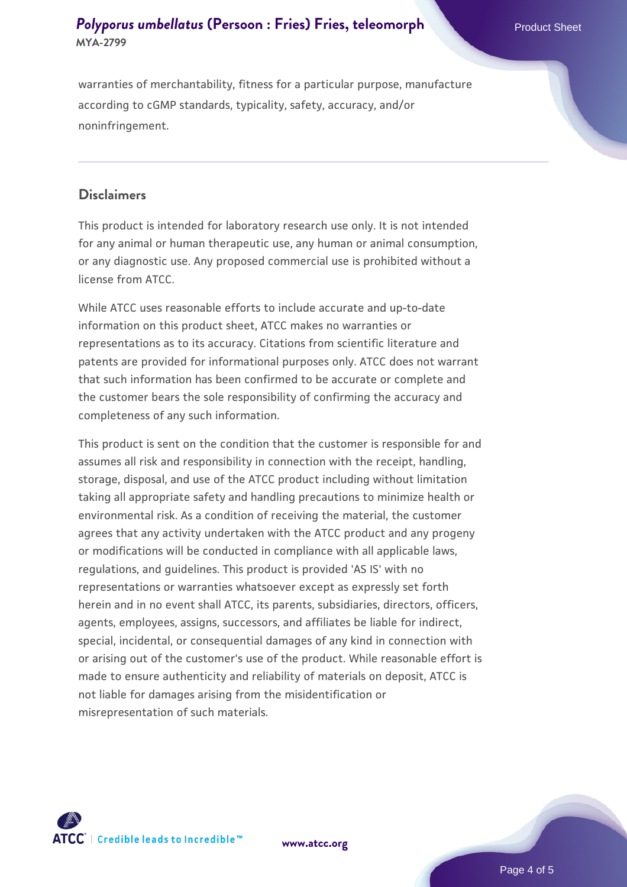# **[Polyporus umbellatus](https://www.atcc.org/products/mya-2799) [\(Persoon : Fries\) Fries, teleomorph](https://www.atcc.org/products/mya-2799) Product Sheet MYA-2799**

warranties of merchantability, fitness for a particular purpose, manufacture according to cGMP standards, typicality, safety, accuracy, and/or noninfringement.

#### **Disclaimers**

This product is intended for laboratory research use only. It is not intended for any animal or human therapeutic use, any human or animal consumption, or any diagnostic use. Any proposed commercial use is prohibited without a license from ATCC.

While ATCC uses reasonable efforts to include accurate and up-to-date information on this product sheet, ATCC makes no warranties or representations as to its accuracy. Citations from scientific literature and patents are provided for informational purposes only. ATCC does not warrant that such information has been confirmed to be accurate or complete and the customer bears the sole responsibility of confirming the accuracy and completeness of any such information.

This product is sent on the condition that the customer is responsible for and assumes all risk and responsibility in connection with the receipt, handling, storage, disposal, and use of the ATCC product including without limitation taking all appropriate safety and handling precautions to minimize health or environmental risk. As a condition of receiving the material, the customer agrees that any activity undertaken with the ATCC product and any progeny or modifications will be conducted in compliance with all applicable laws, regulations, and guidelines. This product is provided 'AS IS' with no representations or warranties whatsoever except as expressly set forth herein and in no event shall ATCC, its parents, subsidiaries, directors, officers, agents, employees, assigns, successors, and affiliates be liable for indirect, special, incidental, or consequential damages of any kind in connection with or arising out of the customer's use of the product. While reasonable effort is made to ensure authenticity and reliability of materials on deposit, ATCC is not liable for damages arising from the misidentification or misrepresentation of such materials.